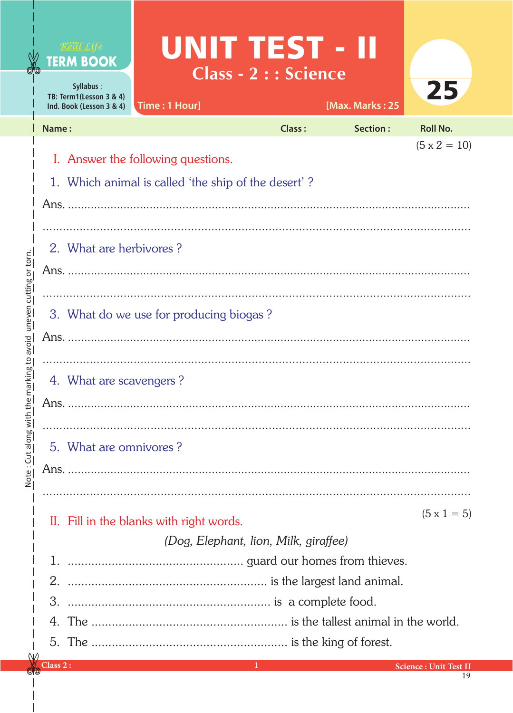|                                              |                         | Real Li<br><b>TERM BOOK</b><br>Syllabus:<br>TB: Term1(Lesson 3 & 4)<br>Ind. Book (Lesson 3 & 4) | Time: 1 Hour]                            | UNIT TEST - II<br><b>Class - 2 : : Science</b> |               | [Max. Marks: 25 | 25                           |  |  |  |  |
|----------------------------------------------|-------------------------|-------------------------------------------------------------------------------------------------|------------------------------------------|------------------------------------------------|---------------|-----------------|------------------------------|--|--|--|--|
|                                              | Name:                   |                                                                                                 |                                          |                                                | <b>Class:</b> | Section:        | <b>Roll No.</b>              |  |  |  |  |
| the marking to avoid uneven cutting or torn. |                         |                                                                                                 |                                          |                                                |               |                 | $(5 \times 2 = 10)$          |  |  |  |  |
|                                              |                         | I. Answer the following questions.<br>1. Which animal is called 'the ship of the desert'?       |                                          |                                                |               |                 |                              |  |  |  |  |
|                                              |                         |                                                                                                 |                                          |                                                |               |                 |                              |  |  |  |  |
|                                              |                         |                                                                                                 |                                          |                                                |               |                 |                              |  |  |  |  |
|                                              | 2. What are herbivores? |                                                                                                 |                                          |                                                |               |                 |                              |  |  |  |  |
|                                              |                         |                                                                                                 |                                          |                                                |               |                 |                              |  |  |  |  |
|                                              |                         |                                                                                                 |                                          |                                                |               |                 |                              |  |  |  |  |
|                                              |                         | 3. What do we use for producing biogas?                                                         |                                          |                                                |               |                 |                              |  |  |  |  |
|                                              |                         |                                                                                                 |                                          |                                                |               |                 |                              |  |  |  |  |
|                                              |                         |                                                                                                 |                                          |                                                |               |                 |                              |  |  |  |  |
|                                              |                         | 4. What are scavengers?                                                                         |                                          |                                                |               |                 |                              |  |  |  |  |
|                                              |                         |                                                                                                 |                                          |                                                |               |                 |                              |  |  |  |  |
|                                              |                         |                                                                                                 |                                          |                                                |               |                 |                              |  |  |  |  |
| Note: Cut along with                         |                         | 5. What are omnivores?                                                                          |                                          |                                                |               |                 |                              |  |  |  |  |
|                                              |                         |                                                                                                 |                                          |                                                |               |                 |                              |  |  |  |  |
|                                              |                         |                                                                                                 |                                          |                                                |               |                 |                              |  |  |  |  |
|                                              |                         |                                                                                                 |                                          |                                                |               |                 | $(5 \times 1 = 5)$           |  |  |  |  |
|                                              |                         |                                                                                                 | II. Fill in the blanks with right words. |                                                |               |                 |                              |  |  |  |  |
|                                              |                         | (Dog, Elephant, lion, Milk, giraffee)                                                           |                                          |                                                |               |                 |                              |  |  |  |  |
|                                              |                         |                                                                                                 |                                          |                                                |               |                 |                              |  |  |  |  |
|                                              |                         |                                                                                                 |                                          |                                                |               |                 |                              |  |  |  |  |
|                                              |                         |                                                                                                 |                                          |                                                |               |                 |                              |  |  |  |  |
|                                              |                         |                                                                                                 |                                          |                                                |               |                 |                              |  |  |  |  |
|                                              | Class 2:                |                                                                                                 |                                          |                                                |               |                 | <b>Science: Unit Test II</b> |  |  |  |  |